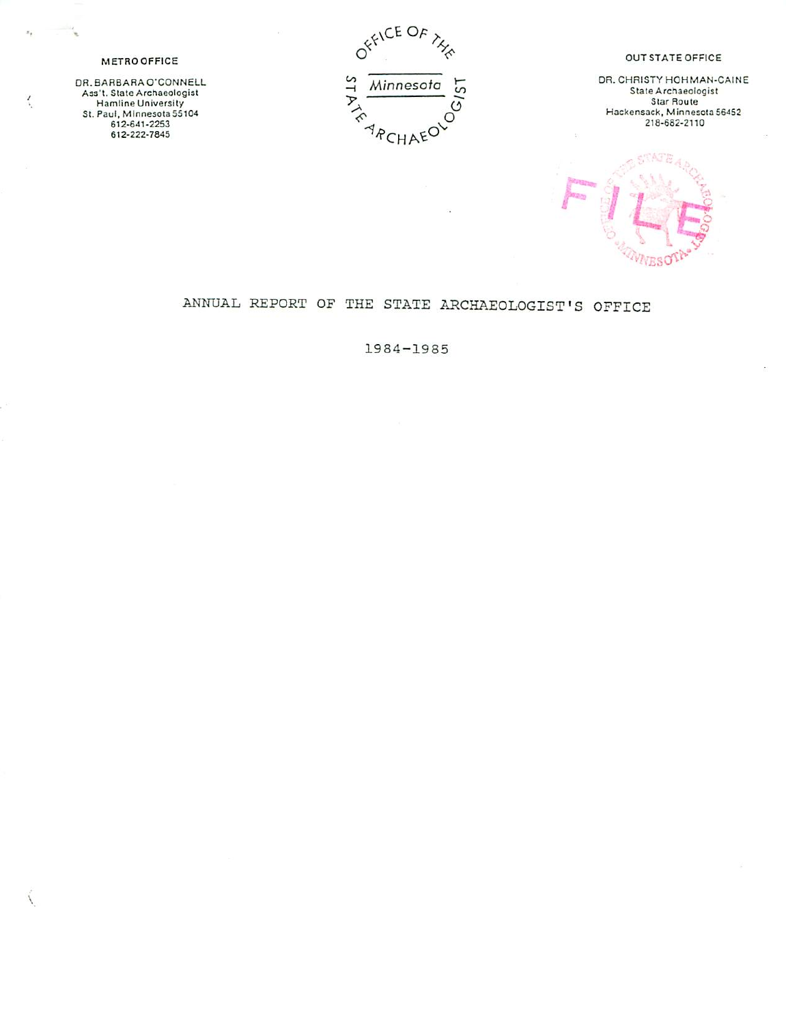OFFICE OF  $\frac{4}{x}$  Minnesota  $\frac{5}{x}$ <br>  $\frac{6}{x}$ 

**ARCHAEO** 

 $\sim$ 

#### OUT STATE OFFICE

DR. CHRISTY HGHMAN-CAINE State Architechogist<br>Star Route Hackensack, Minnesota 56452 21S-6S2-2110



# ANNUAL REPORT OF THE STATE ARCHAEOLOGIST'S OFFICE

1984-19S5

## METROOFFICE

 $\mathcal{Z}_2$ 

 $\mathcal{L}_{\mathcal{L}}$ 

 $\mathcal{L}$ 

OR. BARBARA O'CONNELL Ass't. State Archaeologist<br>Hamline University SI. Paul, Minnesota 55104 612-6.11-2253 612-222-7345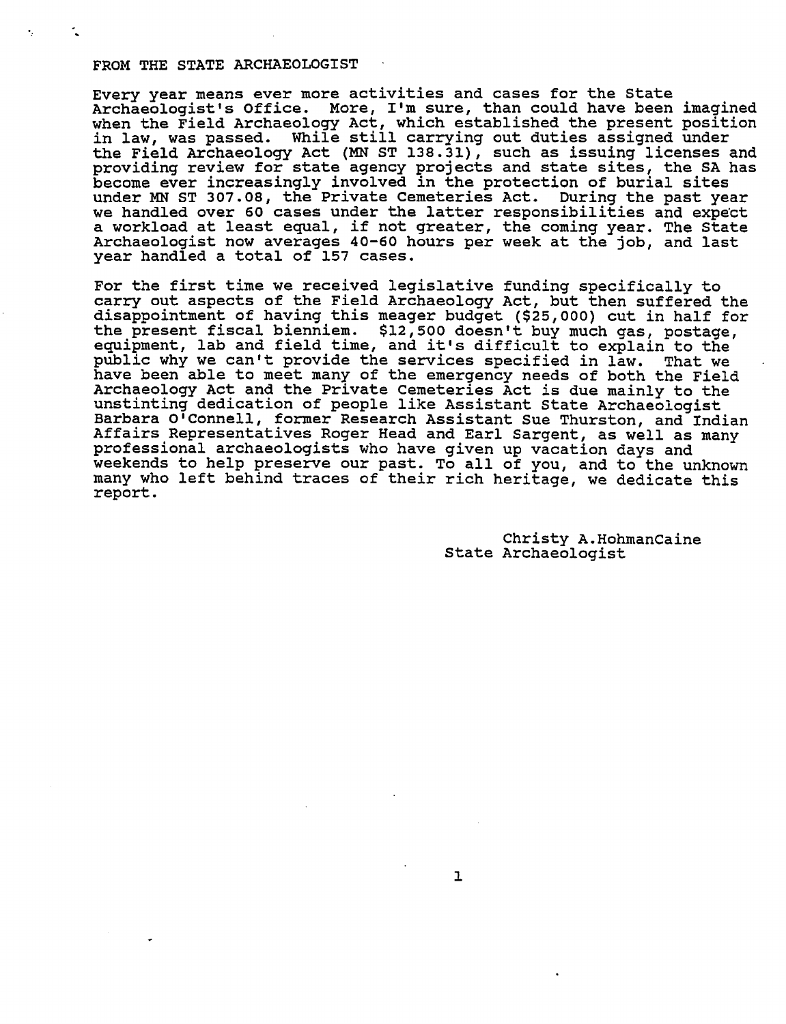#### FROM THE STATE ARCHAEOLOGIST

Every year means ever more activities and cases for the State Archaeologist's Office. More, I'm sure, than could have been imagined when the Field Archaeology Act, which established the present position in law, was passed. While still carrying out duties assigned under the Field Archaeology Act (MN ST 138.31), such as issuing licenses and providing review for state agency projects and state sites, the SA has become ever increasingly involved in the protection of burial sites under MN ST 307.08, the Private Cemeteries Act. During the past year we handled over 60 cases under the latter responsibilities and expect workload at least equal, if not greater, the coming year. The State Archaeologist now averages 40-60 hours per week at the job, and last year handled a total of 157 cases.

For the first time we received legislative funding specifically to carry out aspects of the Field Archaeology Act, but then suffered the disappointment of haying this meager budget (\$25,000) cut in half for the present fiscal bienniem. \$12,500 doesn't buy much gas, postage, equipment, lab and field time, and it's difficult to explain to the public why we can't provide the services specified in law. That we have been able to meet many of the emergency needs of both the Field Archaeology Act and the Private Cemeteries Act is due mainly to the unstinting dedication of people like Assistant State Archaeologist Barbara O'Connell, former Research Assistant Sue Thurston, and Indian Affairs Representatives Roger Head and Earl Sargent, as well as many professional archaeologists who have given up vacation days and weekends to help preserve our past. To all of you, and to the unknown many who left behind traces of their rich heritage, we dedicate this report.

> Christy A.HohmanCaine State Archaeologist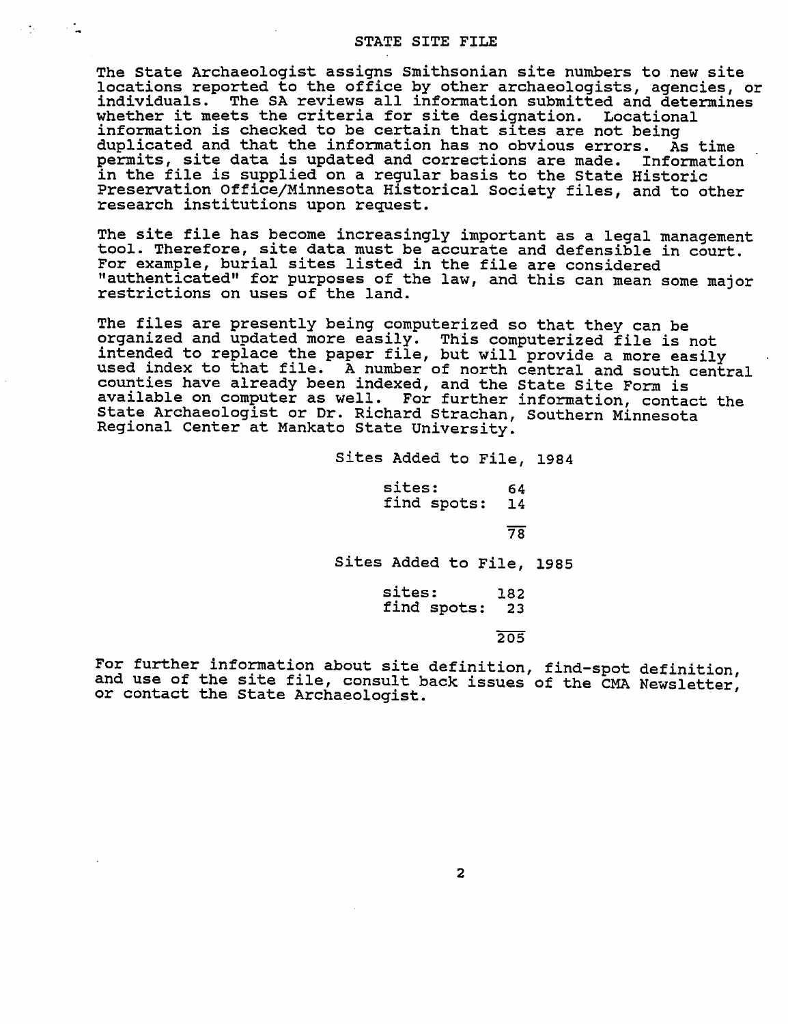#### STATE SITE FILE

 $\sim 100$ 

 $\mathcal{L}^{\mathcal{L}}$ 

The State Archaeologist assigns Smithsonian site numbers to new site locations reported to the office by other archaeologists, agencies, or individuals. The SA reviews all information submitted and determines whether it meets the criteria for site designation. Locational information is checked to be certain that sites are not being duplicated and that the information has no obvious errors. As time permits, site data is updated and corrections are made. Information in the file is supplied on a regular basis to the State Historic Preservation Office/Minnesota Historical Society files, and to other research institutions upon request.

The site file has become increasingly important as a legal management tool. Therefore, site data must be accurate and defensible in court. For example, burial sites listed in the file are considered "authenticated" for purposes of the law, and this can mean some major restrictions on uses of the land.

The files are presently being computerized so that they can be organized and updated more easily. This computerized file is not intended to replace the paper file, but will provide a more easily used index to that file. A number of north central and south central counties have already been indexed, and the State Site Form is available on computer as well. For further information, contact the State Archaeologist or Dr. Richard Strachan, Southern Minnesota Regional Center at Mankato State University.

> Sites Added to File, 1984 sites: 64 find spots: 14 78" Sites Added to File, 1985 sites: 182 find spots: 23 205

For further information about site definition, find-spot definition, and use of the site file, consult back issues of the CMA Newsletter, or contact the State Archaeologist.

 $\overline{2}$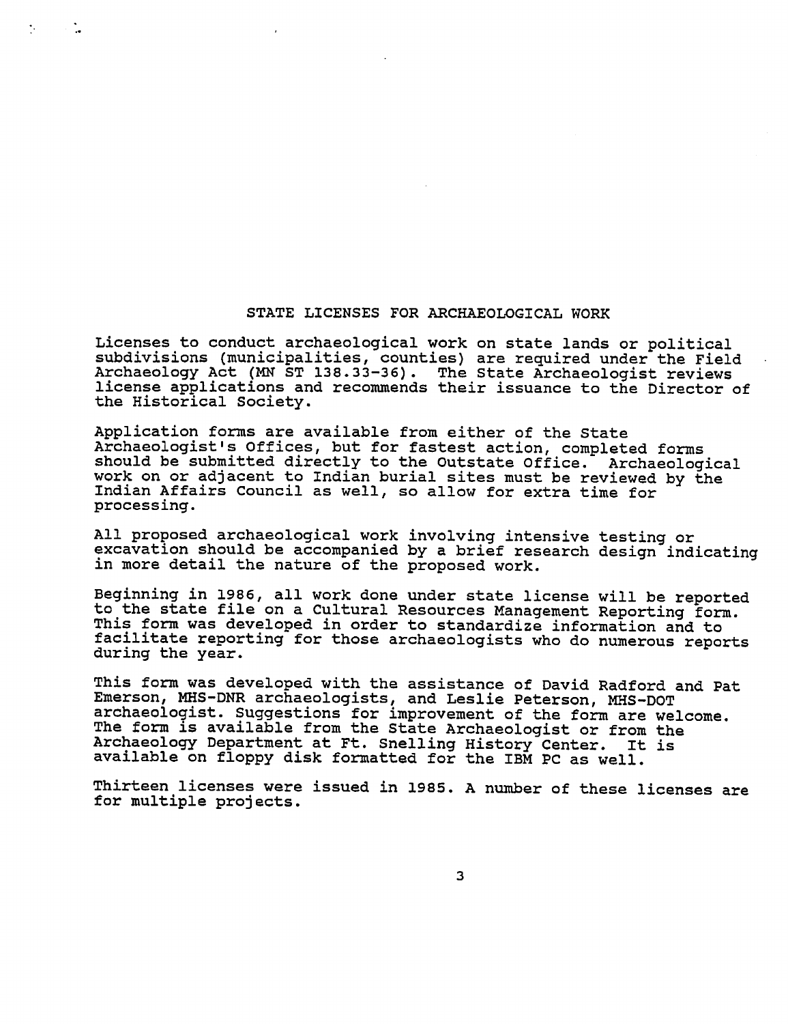## STATE LICENSES FOR ARCHAEOLOGICAL WORK

Licenses to conduct archaeological work on state lands or political subdivisions (municipalities, counties) are required under the Field Archaeology Act (MN ST 138.33-36). The State Archaeologist reviews license applications and recommends their issuance to the Director of the Historical Society.

Application forms are available from either of the State Archaeologist's Offices, but for fastest action, completed forms should be submitted directly to the Outstate Office. Archaeological work on or adjacent to Indian burial sites must be reviewed by the Indian Affairs Council as well, so allow for extra time for processing.

All proposed archaeological work involving intensive testing or excavation should be accompanied by a brief research design indicating in more detail the nature of the proposed work.

Beginning in 1986, all work done under state license will be reported to the state file on a Cultural Resources Management Reporting form. This form was developed in order to standardize information and to facilitate reporting for those archaeologists who do numerous reports during the year.

This form was developed with the assistance of David Radford and Pat Emerson, MHS-DNR archaeologists, and Leslie Peterson, MHS-DOT archaeologist. Suggestions for improvement of the form are welcome. The form is available from the State Archaeologist or from the Archaeology Department at Ft. Snelling History Center. It is available on floppy disk formatted for the IBM PC as well.

Thirteen licenses were issued in 1985. A number of these licenses are for multiple projects.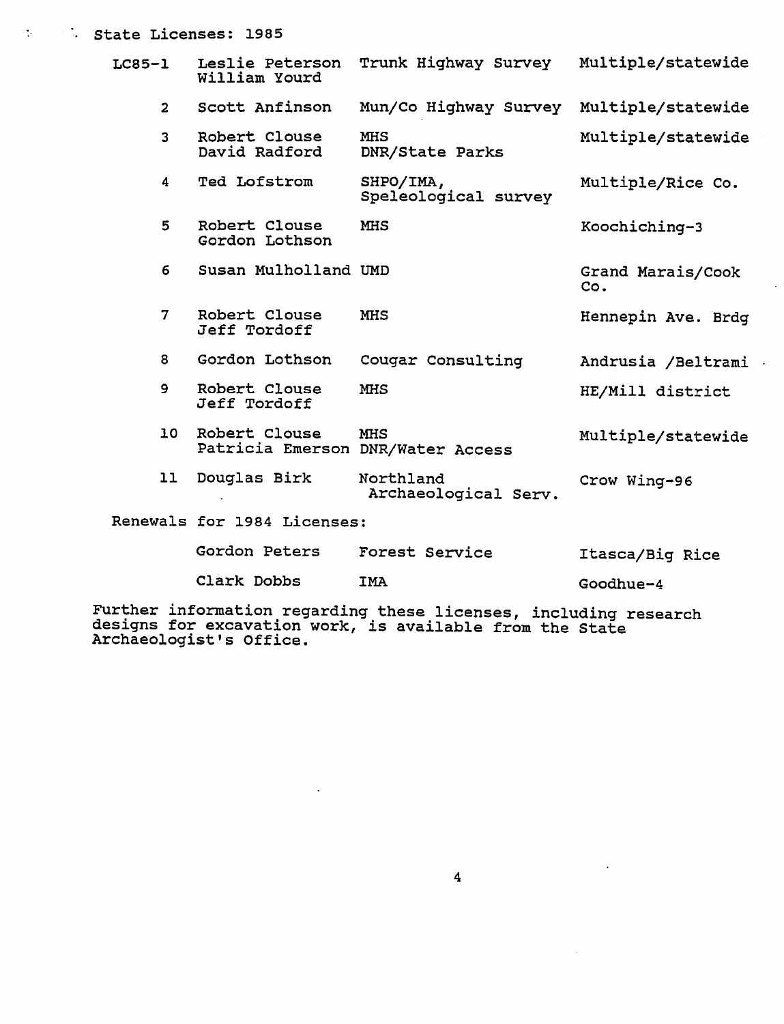## **State Licenses: 1985**

| $LC85-1$       | Leslie Peterson<br>William Yourd | Trunk Highway Survey                            | Multiple/statewide       |
|----------------|----------------------------------|-------------------------------------------------|--------------------------|
| $\overline{2}$ | Scott Anfinson                   | Mun/Co Highway Survey                           | Multiple/statewide       |
| 3              | Robert Clouse<br>David Radford   | <b>MHS</b><br>DNR/State Parks                   | Multiple/statewide       |
| 4              | Ted Lofstrom                     | SHPO/IMA,<br>Speleological survey               | Multiple/Rice Co.        |
| 5              | Robert Clouse<br>Gordon Lothson  | <b>MHS</b>                                      | Koochiching-3            |
| 6              | Susan Mulholland UMD             |                                                 | Grand Marais/Cook<br>Co. |
| 7              | Robert Clouse<br>Jeff Tordoff    | <b>MHS</b>                                      | Hennepin Ave. Brdg       |
| 8              | Gordon Lothson                   | Cougar Consulting                               | Andrusia /Beltrami       |
| 9              | Robert Clouse<br>Jeff Tordoff    | <b>MHS</b>                                      | HE/Mill district         |
| 10             | Robert Clouse                    | <b>MHS</b><br>Patricia Emerson DNR/Water Access | Multiple/statewide       |
| 11             | Douglas Birk                     | Northland<br>Archaeological Serv.               | Crow Wing-96             |
|                | Renewals for 1984 Licenses:      |                                                 |                          |
|                | Gordon Peters                    | Forest Service                                  | Itasca/Big Rice          |

Clark Dobbs IMA

Goodhue-4

Further information regarding these licenses, including research designs for excavation work, is available from the State Archaeologist's Office.

 $\ddot{\phantom{a}}$ 

 $\sim$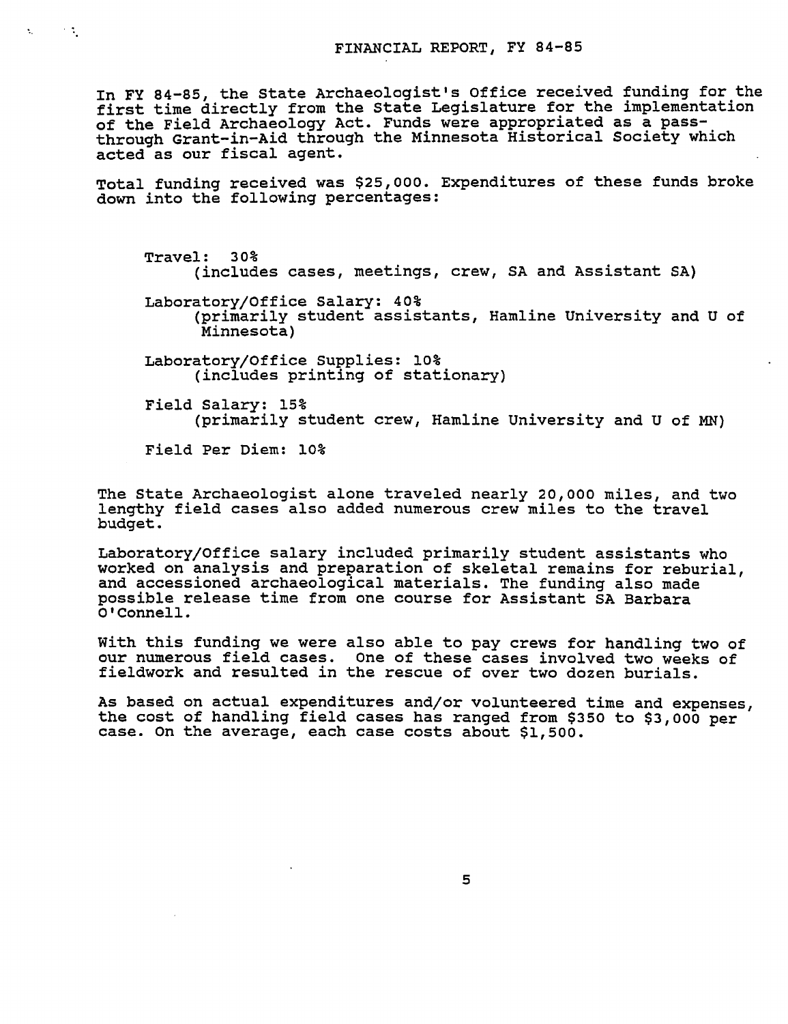In FY 84-85, the State Archaeologist's Office received funding for the first time directly from the State Legislature for the implementation of the Field Archaeology Act. Funds were appropriated as a passthrough Grant-in-Aid through the Minnesota Historical Society which acted as our fiscal agent.

Total funding received was \$25,000. Expenditures of these funds broke down into the following percentages:

Travel: 30% (includes cases, meetings, crew, SA and Assistant SA)

Laboratory/Office Salary: 40% (primarily student assistants, Hamline University and of Minnesota)

Laboratory/Office Supplies: 10% (includes printing of stationary)

Field Salary: 15% (primarily student crew, Hamline University and of MN)

Field Per Diem: 10%

 $\mathcal{L}^{\text{max}}$ 

 $\mathbf{t}_1$  .

The State Archaeologist alone traveled nearly 20,000 miles, and two lengthy field cases also added numerous crew miles to the travel budget.

Laboratory/Office salary included primarily student assistants who worked on analysis and preparation of skeletal remains for reburial, and accessioned archaeological materials. The funding also made possible release time from one course for Assistant SA Barbara O'Connell.

With this funding we were also able to pay crews for handling two of our numerous field cases. One of these cases involved two weeks of fieldwork and resulted in the rescue of over two dozen burials.

As based on actual expenditures and/or volunteered time and expenses, the cost of handling field cases has ranged from \$350 to \$3,000 per case. On the average, each case costs about \$1,500.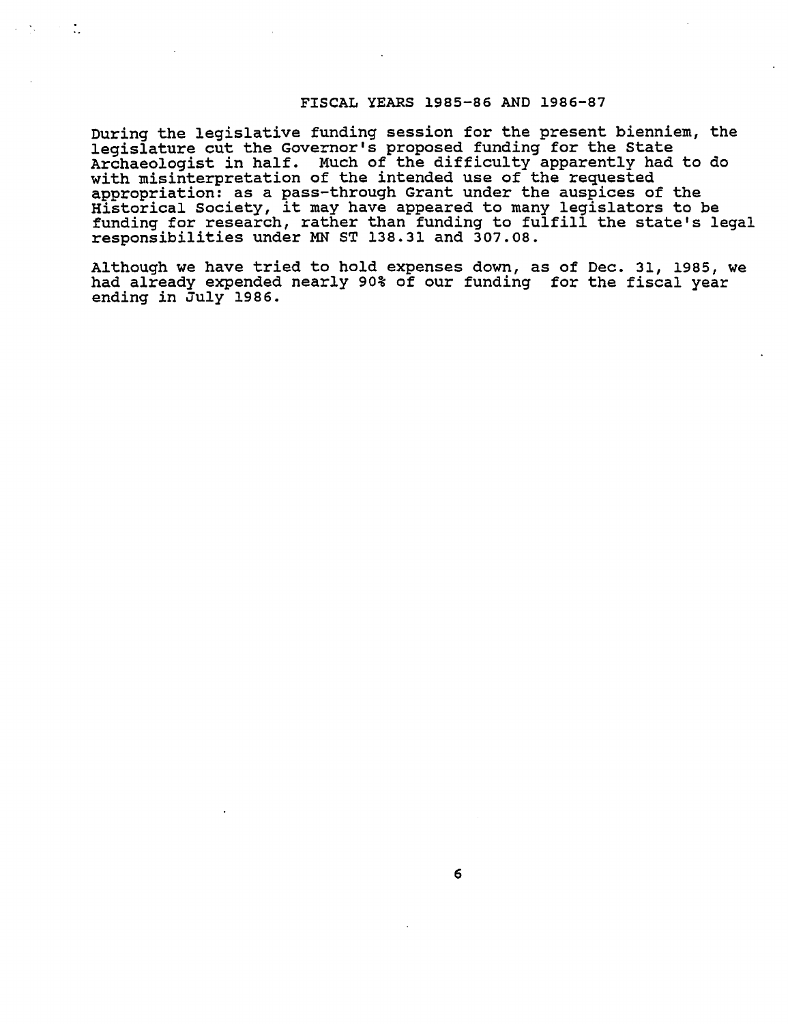## FISCAL YEARS 1985-86 AND 1986-87

During the legislative funding session for the present bienniem, the legislature cut the Governor's proposed funding for the State Archaeologist in half. Much of the difficulty apparently had to do with misinterpretation of the intended use of the requested appropriation: as pass-through Grant under the auspices of the Historical Society, it may have appeared to many legislators to be funding for research, rather than funding to fulfill the state's legal responsibilities under MN ST 138.31 and 307.08.

÷.

Although we have tried to hold expenses down, as of Dec. 31, 1985, we had already expended nearly 90% of our funding for the fiscal year ending in July 1986.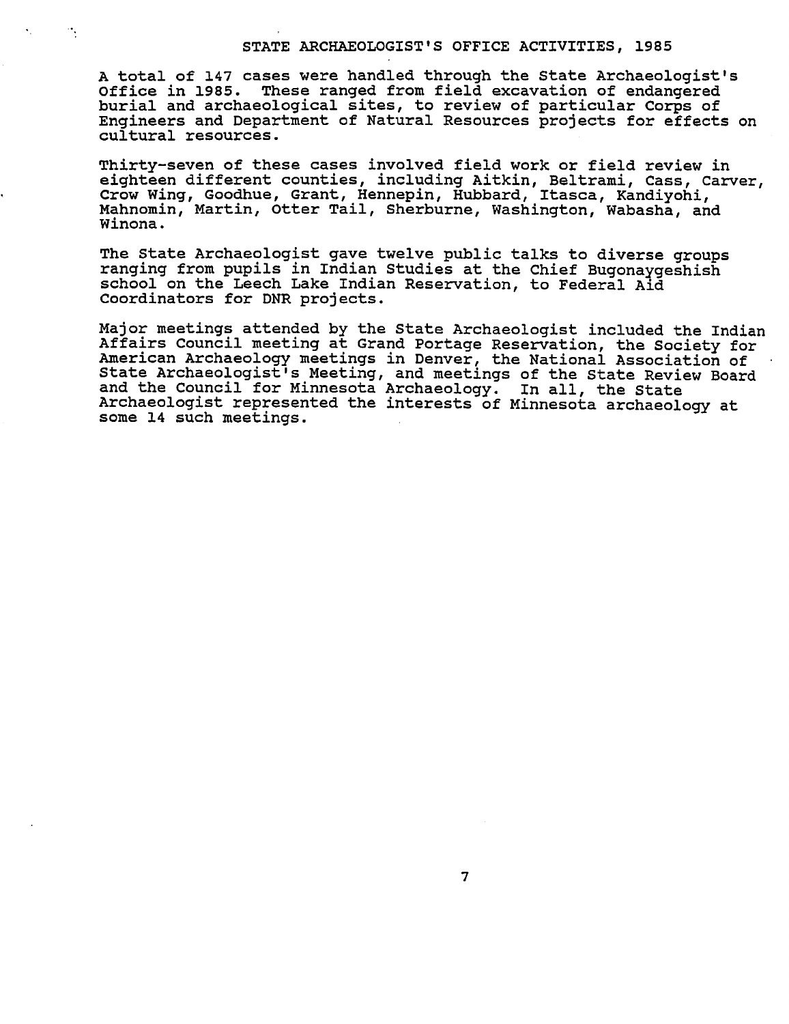#### STATE ARCHAEOLOGIST'S OFFICE ACTIVITIES, 1985

total of 147 cases were handled through the State Archaeologist's Office in 1985. These ranged from field excavation of endangered burial and archaeological sites, to review of particular Corps of Engineers and Department of Natural Resources projects for effects on cultural resources.

Thirty-seven of these cases involved field work or field review in eighteen different counties, including Aitkin, Beltrami, Cass, Carver, Crow Wing, Goodhue, Grant, Hennepin, Hubbard, Itasca, Kandiyohi, Mahnomin, Martin, Otter Tail, Sherburne, Washington, Wabasha, and Winona.

The State Archaeologist gave twelve public talks to diverse groups ranging from pupils in Indian Studies at the Chief Bugonaygeshish school on the Leech Lake Indian Reservation, to Federal Aid Coordinators for DNR projects.

Major meetings attended by the State Archaeologist included the Indian Affairs Council meeting at Grand Portage Reservation, the Society for American Archaeology meetings in Denver, the National Association of State Archaeologist's Meeting, and meetings of the State Review Board and the Council for Minnesota Archaeology. In all, the State Archaeologist represented the interests of Minnesota archaeology at some 14 such meetings.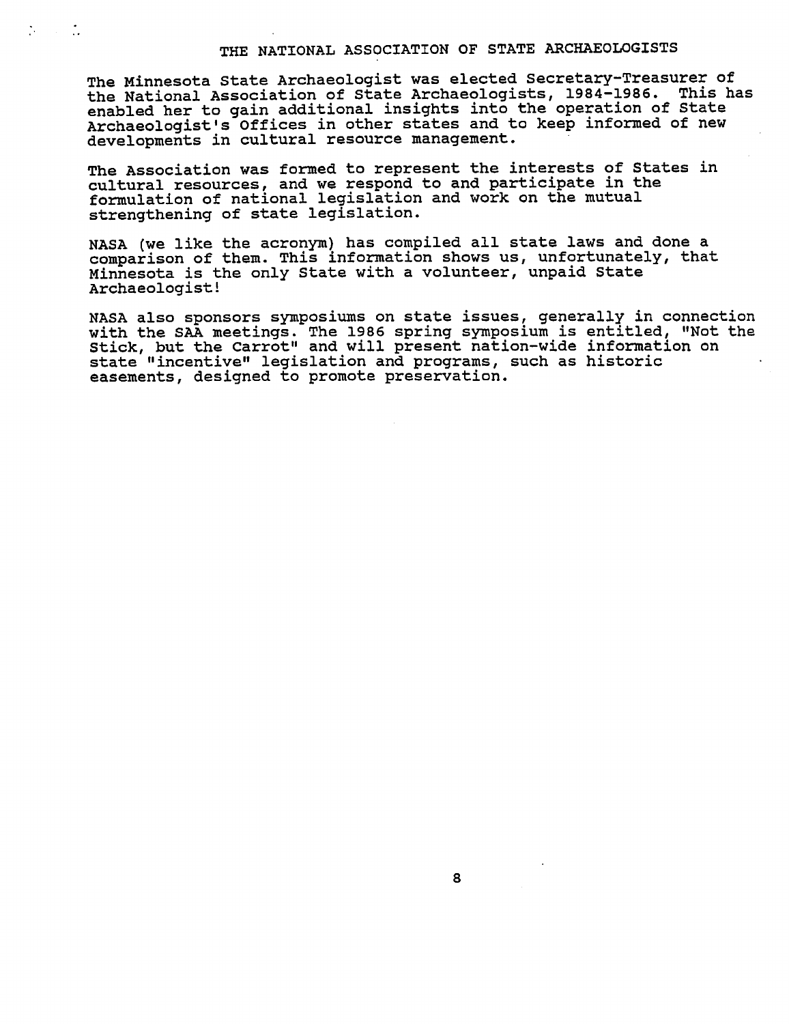# THE NATIONAL ASSOCIATION OF STATE ARCHAEOLOGISTS

The Minnesota State Archaeologist was elected Secretary-Treasurer of the National Association of State Archaeologists, 1984-1986. This has enabled her to gain additional insights into the operation of State Archaeologist's Offices in other states and to keep informed of new developments in cultural resource management.

The Association was formed to represent the interests of States in cultural resources, and we respond to and participate in the formulation of national legislation and work on the mutual strengthening of state legislation.

 $\mathcal{L} = \mathcal{L}$ 

NASA (we like the acronym) has compiled all state laws and done comparison of them. This information shows us, unfortunately, that Minnesota is the only State with a volunteer, unpaid State Archaeologist!

NASA also sponsors symposiums on state issues, generally in connection with the SAA meetings. The 1986 spring symposium is entitled, "Not the Stick, but the Carrot" and will present nation-wide information on state "incentive" legislation and programs, such as historic easements, designed to promote preservation.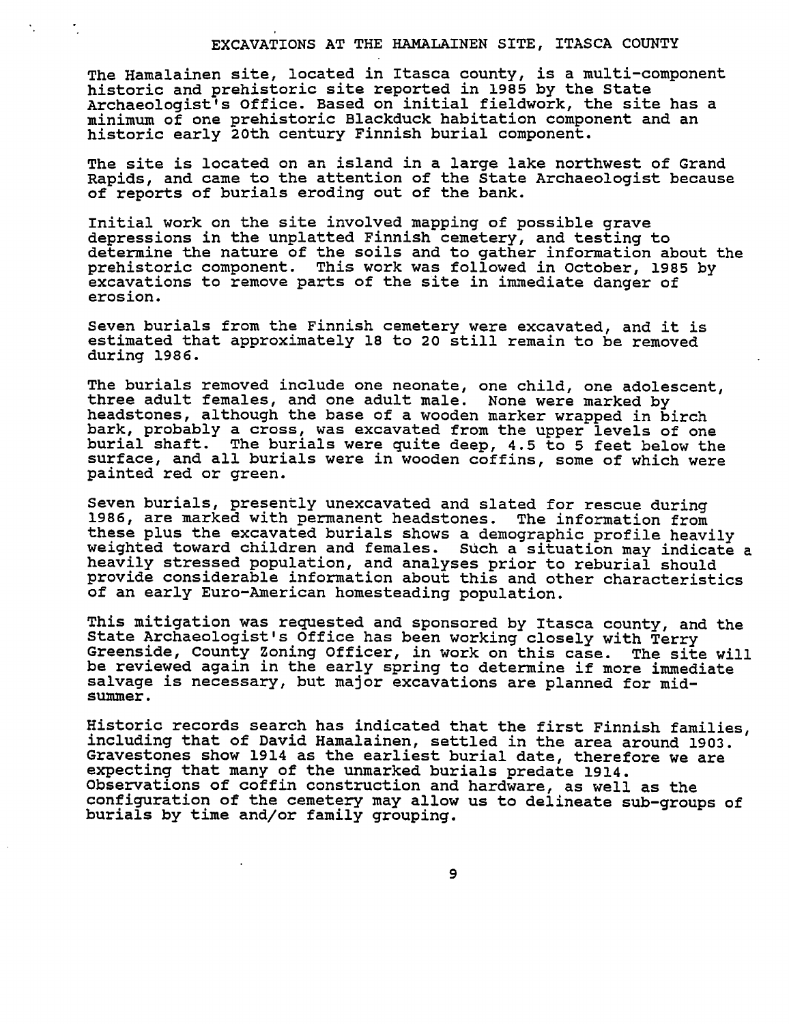#### EXCAVATIONS AT THE HAMALAINEN SITE, ITASCA COUNTY

The Hamalainen site, located in Itasca county, is multi-component historic and prehistoric site reported in 1985 by the State Archaeologist's Office. Based on initial fieldwork, the site has minimum of one prehistoric Blackduck habitation component and an historic early 20th century Finnish burial component.

The site is located on an island in a large lake northwest of Grand Rapids, and came to the attention of the State Archaeologist because of reports of burials eroding out of the bank.

Initial work on the site involved mapping of possible grave depressions in the unplatted Finnish cemetery, and testing to determine the nature of the soils and to gather information about the prehistoric component. This work was followed in October, 1985 by excavations to remove parts of the site in immediate danger of erosion.

Seven burials from the Finnish cemetery were excavated, and it is estimated that approximately 18 to 20 still remain to be removed during 1986.

The burials removed include one neonate, one child, one adolescent, three adult females, and one adult male. None were marked by headstones, although the base of a wooden marker wrapped in birch bark, probably a cross, was excavated from the upper levels of one burial shaft. The burials were quite deep, 4.5 to feet below the surface, and all burials were in wooden coffins, some of which were painted red or green.

Seven burials, presently unexcavated and slated for rescue during 1986, are marked with permanent headstones. The information from these plus the excavated burials shows a demographic profile heavily weighted toward children and females. Such a situation may indicate a heavily stressed population, and analyses prior to reburial should provide considerable information about this and other characteristics of an early Euro-American homesteading population.

This mitigation was requested and sponsored by Itasca county, and the State Archaeologist's Office has been working closely with Terry Greenside, County Zoning Officer, in work on this case. The site will be reviewed again in the early spring to determine if more immediate salvage is necessary, but major excavations are planned for midsummer.

Historic records search has indicated that the first Finnish families, including that of David Hamalainen, settled in the area around 1903. Gravestones show 1914 as the earliest burial date, therefore we are expecting that many of the unmarked burials predate 1914. Observations of coffin construction and hardware, as well as the configuration of the cemetery may allow us to delineate sub-groups of burials by time and/or family grouping.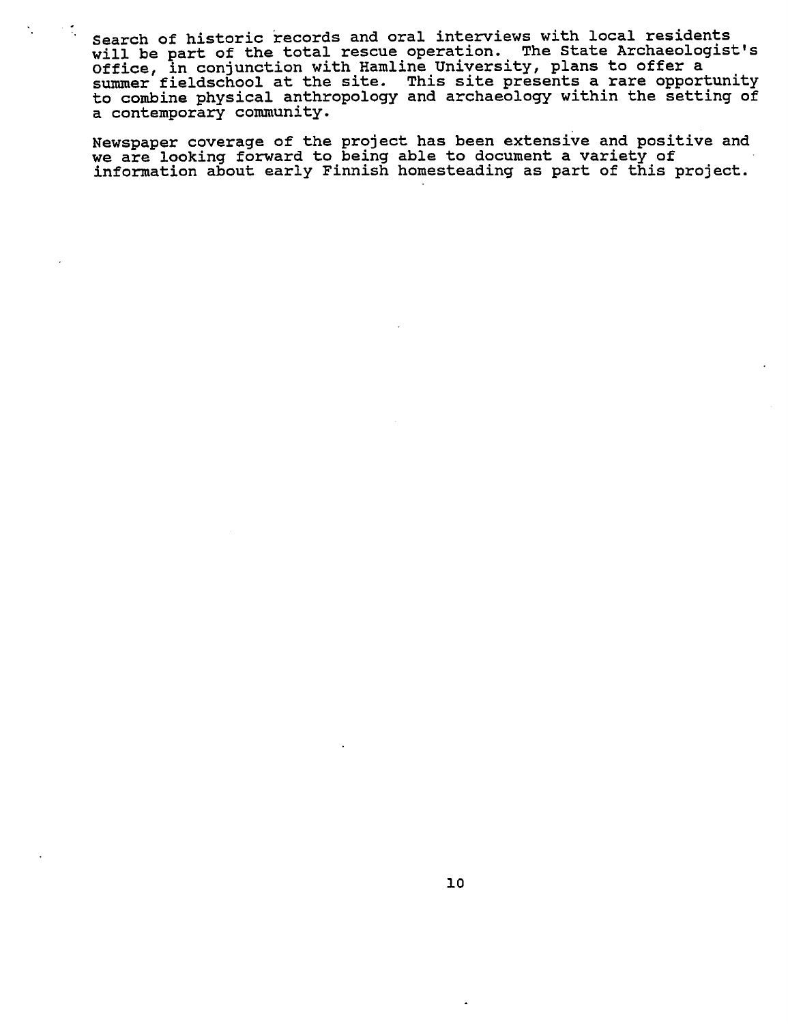Search of historic records and oral interviews with local residents will be part of the total rescue operation. The State Archaeologist's Office, in conjunction with Hamline University, plans to offer summer fieldschool at the site. This site presents a rare opportunity to combine physical anthropology and archaeology within the setting of contemporary community.

Newspaper coverage of the project has been extensive and positive and we are looking forward to being able to document a variety of information about early Finnish homesteading as part of this project.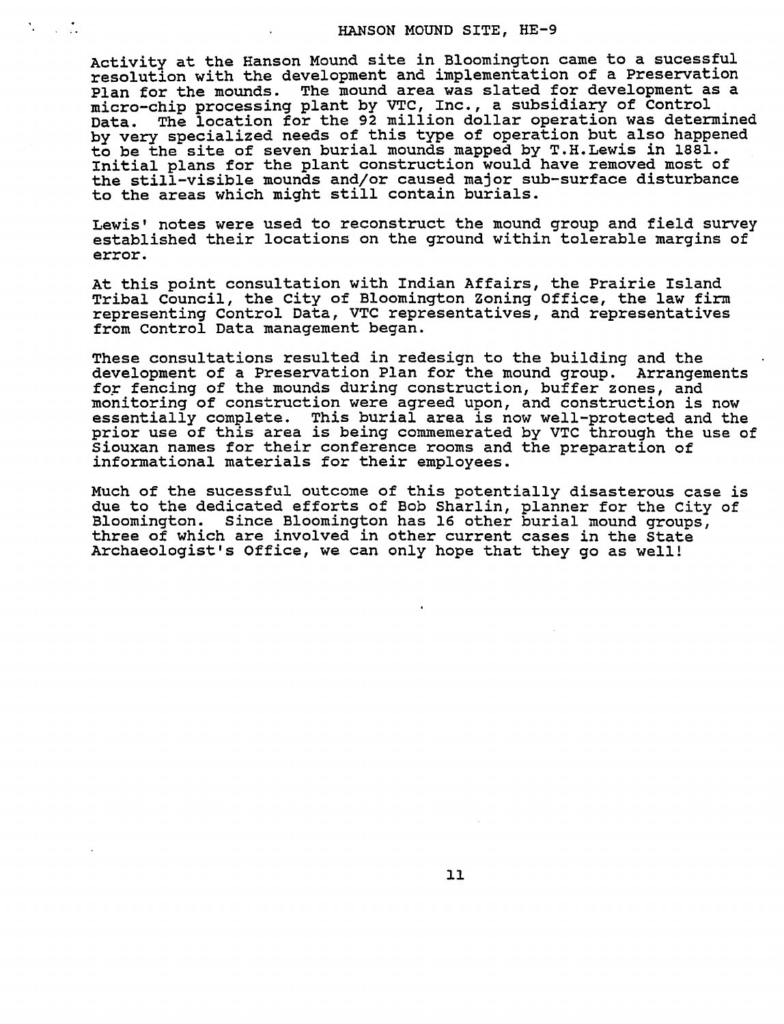#### HANSON MOUND SITE, HE-9

Activity at the Hanson Mound site in Bloomington came to a sucessful resolution with the development and implementation of a Preservation Plan for the mounds. The mound area was slated for development as a micro-chip processing plant by VTC, Inc., subsidiary of Control Data. The location for the 92 million dollar operation was determined by very specialized needs of this type of operation but also happened to be the site of seven burial mounds mapped by T.H. Lewis in 1881. Initial plans for the plant construction would have removed most of the still-visible mounds and/or caused major sub-surface disturbance to the areas which might still contain burials.

 $\mathcal{N} \rightarrow \mathcal{N}$ 

Lewis' notes were used to reconstruct the mound group and field survey established their locations on the ground within tolerable margins of error.

At this point consultation with Indian Affairs, the Prairie Island Tribal Council, the City of Bloomington Zoning Office, the law firm representing Control Data, VTC representatives, and representatives from Control Data management began.

These consultations resulted in redesign to the building and the development of a Preservation Plan for the mound group. Arrangements for fencing of the mounds during construction, buffer zones, and monitoring of construction were agreed upon, and construction is now essentially complete. This burial area is now well-protected and the prior use of this area is being commemerated by VTC through the use of Siouxan names for their conference rooms and the preparation of informational materials for their employees.

Much of the sucessful outcome of this potentially disasterous case is due to the dedicated efforts of Bob Sharlin, planner for the City of Bloomington. Since Bloomington has 16 other burial mound groups, three of which are involved in other current cases in the State Archaeologist's Office, we can only hope that they go as well!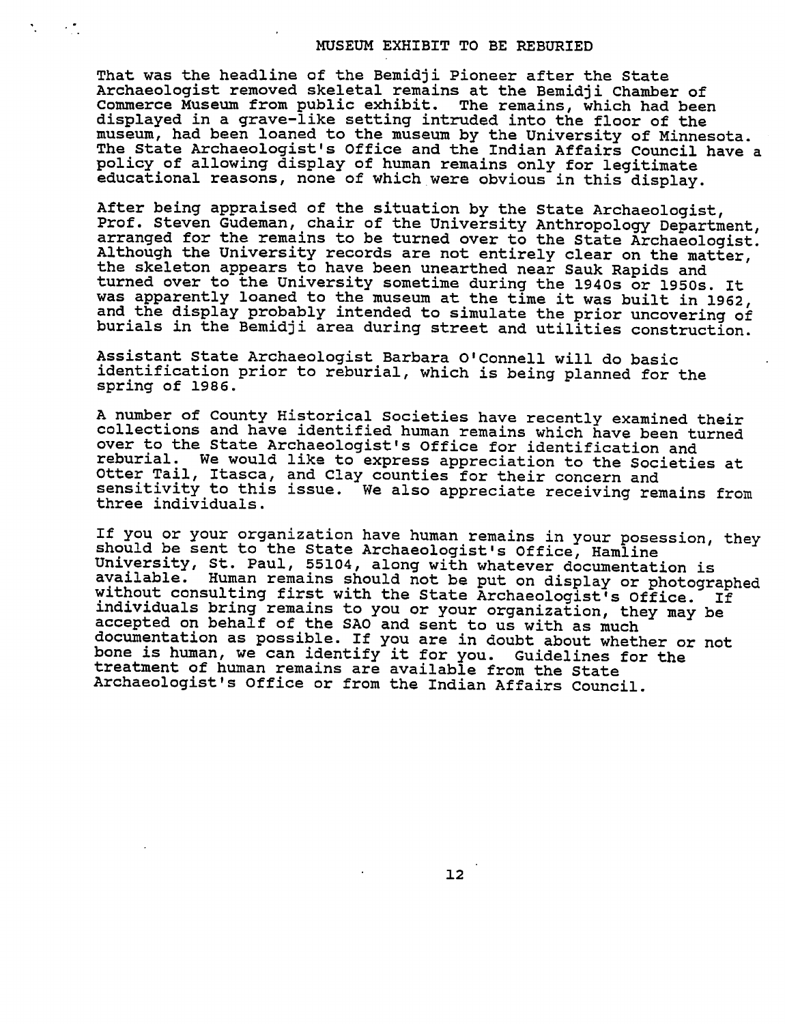## MUSEUM EXHIBIT TO BE REBURIED

That was the headline of the Bemidji Pioneer after the State Archaeologist removed skeletal remains at the Bemidji Chamber of Commerce Museum from public exhibit. The remains, which had been displayed in grave-like setting intruded into the floor of the museum, had been loaned to the museum by the University of Minnesota. The State Archaeologist's Office and the Indian Affairs Council have policy of allowing display of human remains only for legitimate educational reasons, none of which were obvious in this display.

 $\sim 10$ 

After being appraised of the situation by the State Archaeologist, Prof. Steven Gudeman, chair of the University Anthropology Department, arranged for the remains to be turned over to the State Archaeologist. Although the University records are not entirely clear on the matter, the skeleton appears to have been unearthed near Sauk Rapids and turned over to the University sometime during the 1940s or 1950s. It was apparently loaned to the museum at the time it was built in 1962, and the display probably intended to simulate the prior uncovering of burials in the Bemidji area during street and utilities construction.

Assistant State Archaeologist Barbara O'Connell will do basic identification prior to reburial, which is being planned for the spring of 1986.

number of County Historical Societies have recently examined their collections and have identified human remains which have been turned over to the State Archaeologist's Office for identification and reburial. We would like to express appreciation to the Societies at Otter Tail, Itasca, and Clay counties for their concern and sensitivity to this issue. We also appreciate receiving remains from three individuals.

If you or your organization have human remains in your posession, they should be sent to the State Archaeologist's Office, Hamline University, St. Paul, 55104, along with whatever documentation is available. Human remains should not be put on display or photographed without consulting first with the State Archaeologist's Office. If individuals bring remains to you or your organization, they may be accepted on behalf of the SAO and sent to us with as much documentation as possible. If you are in doubt about whether or not bone is human, we can identify it for you. Guidelines for the treatment of human remains are available from the State Archaeologist's Office or from the Indian Affairs Council.

12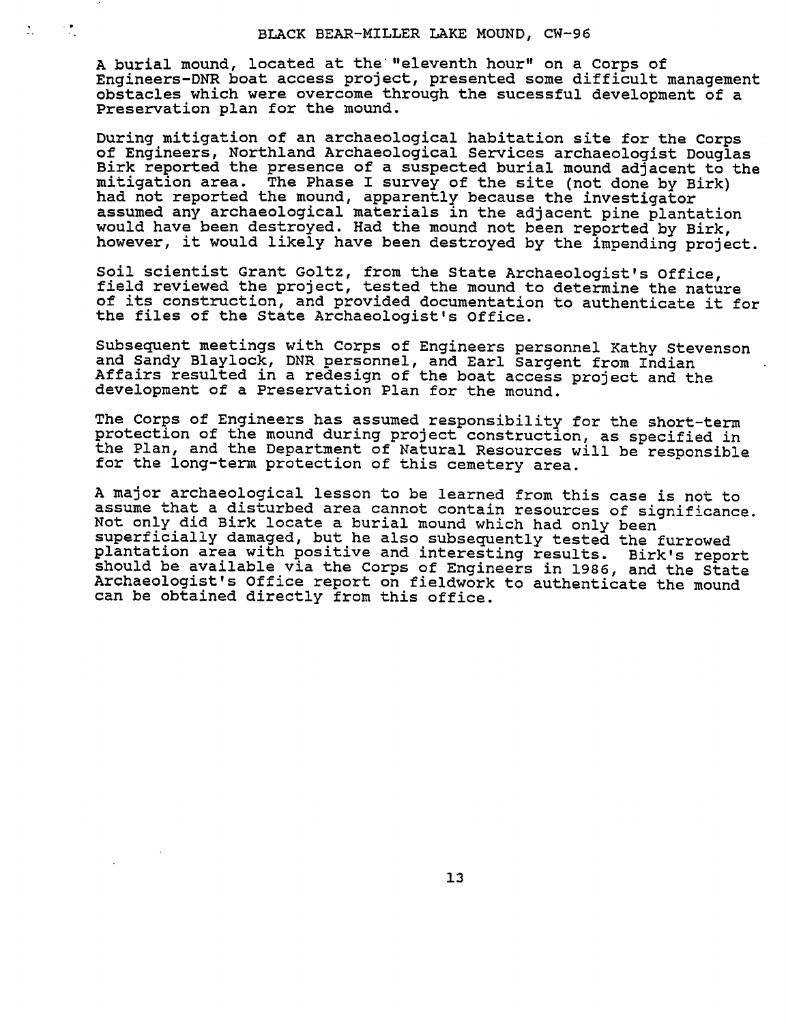$\mathcal{L}_{\mathcal{A}}$ 

 $\mathcal{L}_{\mathcal{L}}$ 

A burial mound, located at the "eleventh hour" on a Corps of Engineers-DNR boat access project, presented some difficult management obstacles which were overcome through the sucessful development of Preservation plan for the mound.

During mitigation of an archaeological habitation site for the Corps of Engineers, Northland Archaeological Services archaeologist Douglas Birk reported the presence of a suspected burial mound adjacent to the mitigation area. The Phase I survey of the site (not done by Birk) had not reported the mound, apparently because the investigator assumed any archaeological materials in the adjacent pine plantation would have been destroyed. Had the mound not been reported by Birk, however, it would likely have been destroyed by the impending project.

Soil scientist Grant Goltz, from the State Archaeologist's Office, field reviewed the project, tested the mound to determine the nature of its construction, and provided documentation to authenticate it for the files of the State Archaeologist's Office.

Subsequent meetings with Corps of Engineers personnel Kathy Stevenson and Sandy Blaylock, DNR personnel, and Earl Sargent from Indian Affairs resulted in a redesign of the boat access project and the development of a Preservation Plan for the mound.

The Corps of Engineers has assumed responsibility for the short-term protection of the mound during project construction, as specified in the Plan, and the Department of Natural Resources will be responsible for the long-term protection of this cemetery area.

major archaeological lesson to be learned from this case is not to assume that a disturbed area cannot contain resources of significance. Not only did Birk locate burial mound which had only been superficially damaged, but he also subsequently tested the furrowed plantation area with positive and interesting results. Birk's report should be available via the Corps of Engineers in 1986, and the State Archaeologist's Office report on fieldwork to authenticate the mound can be obtained directly from this office.